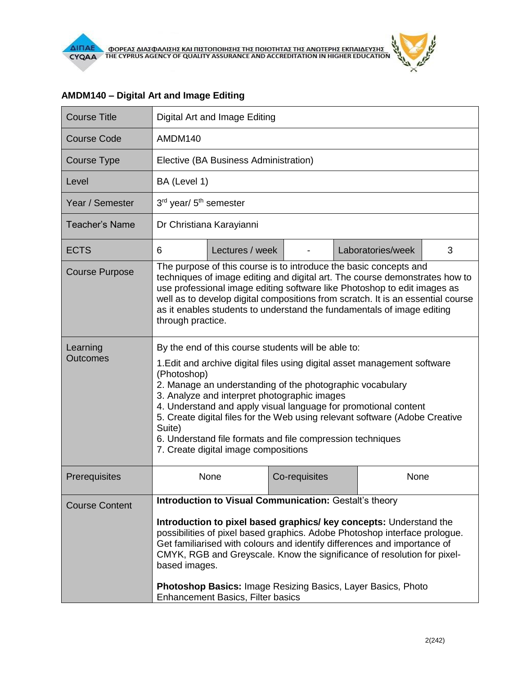| <b>Course Title</b>   | Digital Art and Image Editing                                                                                                                                                                                                                                                                                                                                                                                                                                                                                                  |                 |               |                   |      |  |
|-----------------------|--------------------------------------------------------------------------------------------------------------------------------------------------------------------------------------------------------------------------------------------------------------------------------------------------------------------------------------------------------------------------------------------------------------------------------------------------------------------------------------------------------------------------------|-----------------|---------------|-------------------|------|--|
| Course Code           | AMDM140                                                                                                                                                                                                                                                                                                                                                                                                                                                                                                                        |                 |               |                   |      |  |
| <b>Course Type</b>    | Elective (BA Business Administration)                                                                                                                                                                                                                                                                                                                                                                                                                                                                                          |                 |               |                   |      |  |
| Level                 | BA (Level 1)                                                                                                                                                                                                                                                                                                                                                                                                                                                                                                                   |                 |               |                   |      |  |
| Year / Semester       | 3rd year/ 5 <sup>th</sup> semester                                                                                                                                                                                                                                                                                                                                                                                                                                                                                             |                 |               |                   |      |  |
| <b>Teacher's Name</b> | Dr Christiana Karayianni                                                                                                                                                                                                                                                                                                                                                                                                                                                                                                       |                 |               |                   |      |  |
| <b>ECTS</b>           | 6                                                                                                                                                                                                                                                                                                                                                                                                                                                                                                                              | Lectures / week |               | Laboratories/week | 3    |  |
| <b>Course Purpose</b> | The purpose of this course is to introduce the basic concepts and<br>techniques of image editing and digital art. The course demonstrates how to<br>use professional image editing software like Photoshop to edit images as<br>well as to develop digital compositions from scratch. It is an essential course<br>as it enables students to understand the fundamentals of image editing<br>through practice.                                                                                                                 |                 |               |                   |      |  |
| Learning<br>Outcomes  | By the end of this course students will be able to:<br>1. Edit and archive digital files using digital asset management software<br>(Photoshop)<br>2. Manage an understanding of the photographic vocabulary<br>3. Analyze and interpret photographic images<br>4. Understand and apply visual language for promotional content<br>5. Create digital files for the Web using relevant software (Adobe Creative<br>Suite)<br>6. Understand file formats and file compression techniques<br>7. Create digital image compositions |                 |               |                   |      |  |
| Prerequisites         |                                                                                                                                                                                                                                                                                                                                                                                                                                                                                                                                | None            | Co-requisites |                   | None |  |
| <b>Course Content</b> | Introduction to Visual Communication: Gestalt's theory<br>Introduction to pixel based graphics/ key concepts: Understand the<br>possibilities of pixel based graphics. Adobe Photoshop interface prologue.<br>Get familiarised with colours and identify differences and importance of<br>CMYK, RGB and Greyscale. Know the significance of resolution for pixel-<br>based images.<br><b>Photoshop Basics: Image Resizing Basics, Layer Basics, Photo</b><br>Enhancement Basics, Filter basics                                 |                 |               |                   |      |  |

## **AMDM140 – Digital Art and Image Editing**